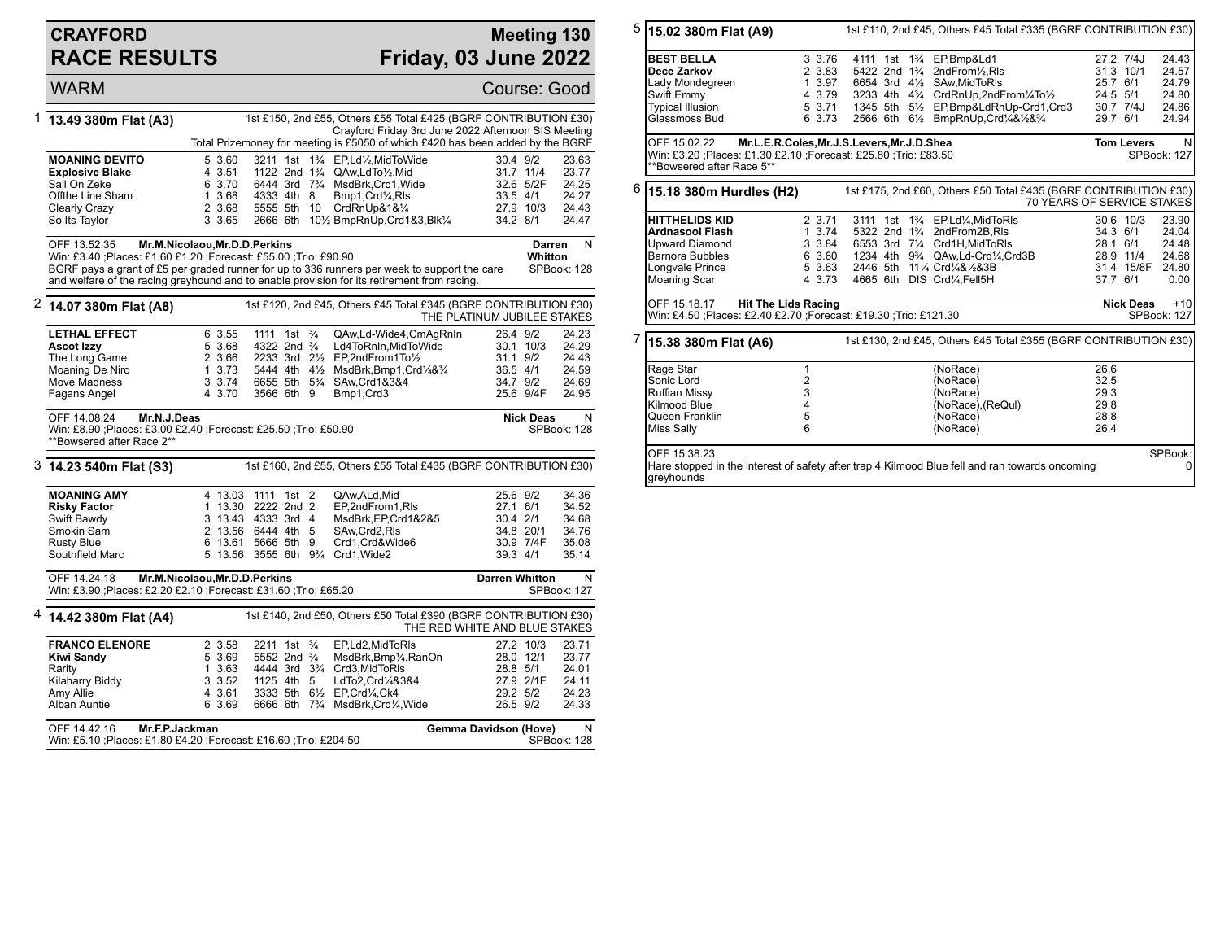## **CRAYFORD RACE RESULTS**

## **Meeting 130 Friday, 03 June 2022**

WARM Course: Good 1 **13.49 380m Flat (A3)** 1st £150, 2nd £55, Others £55 Total £425 (BGRF CONTRIBUTION £30) Crayford Friday 3rd June 2022 Afternoon SIS Meeting Total Prizemoney for meeting is £5050 of which £420 has been added by the BGRF **MOANING DEVITO** 5 3.60 3211 1st 1<sup>3</sup>/<sub>4</sub> EP,Ld<sup>1</sup>/<sub>2</sub>,MidToWide 30.4 9/2 23.63<br> **Explosive Blake** 4 3.51 1122 2nd 1<sup>3</sup>/<sub>4</sub> QAw,LdTo<sup>1</sup>/<sub>2</sub>,Mid 31.7 11/4 23.77 **Explosive Blake** 4 3.51 1122 2nd 1<sup>3</sup>/<sub>4</sub> QAw,LdTo<sup>1</sup>/<sub>2</sub>,Mid 31.7 11/4 23.77<br>
Sail On Zeke 6 3.70 6444 3rd 7<sup>3</sup>/<sub>4</sub> MsdBrk,Crd1,Wide 32.6 5/2F 24.25 Sail On Zeke 6 3.70 6444 3rd 7¾ MsdBrk,Crd1,Wide 32.6 5/2F 24.25 Offthe Line Sham 1 3.68 4333 4th 8 Bmp1,Crd¼,Rls 33.5 4/1 24.27<br>Clearly Crazy 2 3.68 5555 5th 10 CrdRnUp&1&14 Clearly Crazy 2 3.68 5555 5th 10 CrdRnUp&1&1/4 27.9 10/3 24.43<br>
2 3 3.65 2666 6th 101/2 BmpRnUp,Crd1&3,Blk1/4 34.2 8/1 24.47 2666 6th 10½ BmpRnUp, Crd1&3, Blk1/4 OFF 13.52.35 **Mr.M.Nicolaou,Mr.D.D.Perkins** Win: £3.40 ;Places: £1.60 £1.20 ;Forecast: £55.00 ;Trio: £90.90 BGRF pays a grant of £5 per graded runner for up to 336 runners per week to support the care and welfare of the racing greyhound and to enable provision for its retirement from racing. **Darren Whitton** N SPBook: 128 2 **14.07 380m Flat (A8)** 1st £120, 2nd £45, Others £45 Total £345 (BGRF CONTRIBUTION £30) THE PLATINUM JUBILEE STAKES **LETHAL EFFECT** 6 3.55 1111 1st  $\frac{3}{4}$  QAw,Ld-Wide4,CmAgRnIn 26.4 9/2 24.23<br> **Ascot Izzy** 5 3.68 4322 2nd  $\frac{3}{4}$  Ld4ToRnIn,MidToWide 30.1 10/3 24.29 **Associat III. Associat Izd4ToRnIn,MidToWide 30.1 10/3**<br>EP.2ndFrom1To½ 31.1 9/2 The Long Game 2 3.66 2233 3rd 2<sup>1</sup>/<sub>2</sub> EP, 2nd From 1To<sup>1</sup>/<sub>2</sub> 31.1 9/2 24.43<br>Moaning De Niro 24.59 3.73 5444 4th 4<sup>1</sup>/<sub>2</sub> MsdBrk, Bmp1, Crd<sup>1</sup>/4&<sup>3</sup>/<sub>4</sub> 36.5 4/1 24.59 Moaning De Niro 1 3.73 5444 4th 4½ MsdBrk,Bmp1,Crd¼&¾ 36.5 4/1 24.59 Move Madness 3 3.74 6655 5th 5<sup>3</sup>/<sub>4</sub> SAw,Crd1&3&4 34.7 9/2 24.69<br>Fagans Angel 3.70 3566 6th 9 Bmp1,Crd3 3566 9/4F 24.95 3566 6th 9 Bmp1,Crd3 OFF 14.08.24 **Mr.N.J.Deas** Win: £8.90 ;Places: £3.00 £2.40 ;Forecast: £25.50 ;Trio: £50.90 \*\*Bowsered after Race 2\*\* **Nick Deas** N SPBook: 128 3 **14.23 540m Flat (S3)** 1st £160, 2nd £55, Others £55 Total £435 (BGRF CONTRIBUTION £30) **MOANING AMY** 4 13.03 1111 1st 2 QAw,ALd,Mid 25.6 9/2 34.36<br> **Risky Factor** 1 13.30 2222 2nd 2 EP,2ndFrom1,Rls 27.1 6/1 34.52 **Risky Factor** 1 13.30 2222 2nd 2 EP,2ndFrom1,Rls 27.1 6/1 34.52<br>
Swift Bawdy 3 13.43 4333 3rd 4 MsdBrk.EP.Crd1&2&5 30.4 2/1 34.68 Swift Bawdy 3 13.43 4333 3rd 4 MsdBrk,EP,Crd1&2&5 30.4 2/1 34.68 Smokin Sam 2 13.56 6444 4th 5 SAw,Crd2,Rls 34.8 20/1 34.76 Rusty Blue 6 13.61 5666 5th 9 Crd1, Crd&Wide6 30.9 7/4F 35.08<br>Southfield Marc 6 13.56 3555 6th 9% Crd1, Wide2 39.3 4/1 35.14 5 13.56 3555 6th 9<sup>3</sup>/<sub>4</sub> Crd1, Wide2 OFF 14.24.18 **Mr.M.Nicolaou,Mr.D.D.Perkins** Win: £3.90 ;Places: £2.20 £2.10 ;Forecast: £31.60 ;Trio: £65.20 **Darren Whitton** N SPBook: 127 4 **14.42 380m Flat (A4)** 1st £140, 2nd £50, Others £50 Total £390 (BGRF CONTRIBUTION £30) THE RED WHITE AND BLUE STAKES **FRANCO ELENORE** 2 3.58 2211 1st <sup>3</sup> EP,Ld2,MidToRls 27.2 10/3 23.71<br> **Kiwi Sandy** 5 3.69 5552 2nd <sup>3</sup> MsdBrk,Bmp<sup>1</sup>/<sub>s</sub>RanOn 28.0 12/1 23.77 **Kiwi Sandy** 5 3.69 5552 2nd ¾ MsdBrk,Bmp¼,RanOn 28.0 12/1 23.77<br>Rarity 3.63 4444 3rd 3¾ Crd3.MidToRls 28.8 5/1 24.01 Rarity 1 3.63 4444 3rd 3<sup>3</sup>/<sub>4</sub> Crd3,MidToRls 28.8 5/1 24.01<br>1 3 3.52 1125 4th 5 LdTo2,Crd1/48384 27.9 2/1F 24.11 Kilaharry Biddy 3 3.52 1125 4th 5 LdTo2,Crd¼&3&4 27.9 2/1F 24.11 Amy Allie 4 3.61 3333 5th 6½ EP,Crd¼,Ck4 29.2 5/2 24.23 6666 6th 7<sup>3</sup>/<sub>4</sub> MsdBrk,Crd<sup>1</sup>/<sub>4</sub>, Wide OFF 14.42.16 **Mr.F.P.Jackman** Win: £5.10 ;Places: £1.80 £4.20 ;Forecast: £16.60 ;Trio: £204.50 **Gemma Davidson (Hove)** N SPBook: 128

| 5 | 1st £110, 2nd £45, Others £45 Total £335 (BGRF CONTRIBUTION £30)<br>15.02 380m Flat (A9)                                                                      |                                  |             |  |  |  |                                                                                                                     |          |                                        |                           |  |
|---|---------------------------------------------------------------------------------------------------------------------------------------------------------------|----------------------------------|-------------|--|--|--|---------------------------------------------------------------------------------------------------------------------|----------|----------------------------------------|---------------------------|--|
|   | <b>BEST BELLA</b>                                                                                                                                             |                                  | 3 3.76      |  |  |  | 4111 1st 1 <sup>3</sup> / <sub>4</sub> EP, Bmp&Ld1                                                                  |          | 27.2 7/4J                              | 24.43                     |  |
|   | Dece Zarkov                                                                                                                                                   |                                  | 2 3.83      |  |  |  | 5422 2nd 1 <sup>3</sup> / <sub>4</sub> 2nd From <sup>1</sup> / <sub>2</sub> , RIs                                   |          | 31.3 10/1                              | 24.57                     |  |
|   | Lady Mondegreen                                                                                                                                               |                                  | 1 3.97      |  |  |  | 6654 3rd 41/2 SAw.MidToRIs                                                                                          |          | 25.7 6/1                               | 24.79                     |  |
|   | Swift Emmy                                                                                                                                                    |                                  | 4 3.79      |  |  |  | 3233 4th 4 <sup>3</sup> / <sub>4</sub> CrdRnUp, 2nd From <sup>1</sup> / <sub>4</sub> To <sup>1</sup> / <sub>2</sub> |          | 24.5 5/1                               | 24.80                     |  |
|   | <b>Typical Illusion</b>                                                                                                                                       |                                  |             |  |  |  | 5 3.71 1345 5th 51/2 EP, Bmp&LdRnUp-Crd1, Crd3                                                                      |          | 30.7 7/4J                              | 24.86                     |  |
|   | Glassmoss Bud                                                                                                                                                 |                                  | 6 3.73      |  |  |  | 2566 6th 61/2 BmpRnUp, Crd1/4&1/2&3/4                                                                               | 29.7 6/1 |                                        | 24.94                     |  |
|   | Mr.L.E.R.Coles, Mr.J.S.Levers, Mr.J.D.Shea<br>OFF 15.02.22<br>Win: £3.20 ; Places: £1.30 £2.10 ; Forecast: £25.80 ; Trio: £83.50<br>**Bowsered after Race 5** |                                  |             |  |  |  |                                                                                                                     |          | <b>Tom Levers</b><br>N.<br>SPBook: 127 |                           |  |
| 6 | 1st £175, 2nd £60, Others £50 Total £435 (BGRF CONTRIBUTION £30)<br>15.18 380m Hurdles (H2)<br>70 YEARS OF SERVICE STAKES                                     |                                  |             |  |  |  |                                                                                                                     |          |                                        |                           |  |
|   | <b>HITTHELIDS KID</b>                                                                                                                                         |                                  | 2 3.71      |  |  |  | 3111 1st 1 <sup>3</sup> / <sub>4</sub> EP, Ld <sup>1</sup> / <sub>4</sub> , MidToRIs                                |          | 30.6 10/3                              | 23.90                     |  |
|   | <b>Ardnasool Flash</b>                                                                                                                                        |                                  | $1 \, 3.74$ |  |  |  | 5322 2nd 1 <sup>3</sup> / <sub>4</sub> 2nd From 2B, RIs                                                             |          | 34.3 6/1                               | 24.04                     |  |
|   | Upward Diamond                                                                                                                                                |                                  | 3 3.84      |  |  |  | 6553 3rd 71/4 Crd1H.MidToRIs                                                                                        |          | 28.1 6/1                               | 24.48                     |  |
|   | <b>Barnora Bubbles</b>                                                                                                                                        |                                  |             |  |  |  | 6 3.60 1234 4th 9 <sup>3</sup> / <sub>4</sub> QAw, Ld-Crd <sup>1</sup> / <sub>4</sub> , Crd3B                       |          | 28.9 11/4                              | 24.68                     |  |
|   | Longvale Prince                                                                                                                                               |                                  | 5 3.63      |  |  |  | 2446 5th 111/4 Crd1/4&1/2&3B                                                                                        |          | 31.4 15/8F                             | 24.80                     |  |
|   | Moaning Scar                                                                                                                                                  |                                  | 4 3.73      |  |  |  | 4665 6th DIS Crd1/4, Fell5H                                                                                         | 37.7 6/1 |                                        | 0.00                      |  |
|   |                                                                                                                                                               | OFF 15.18.17 Hit The Lids Racing |             |  |  |  |                                                                                                                     |          |                                        | <b>Nick Deas</b><br>$+10$ |  |
|   | Win: £4.50 ; Places: £2.40 £2.70 ; Forecast: £19.30 ; Trio: £121.30                                                                                           |                                  |             |  |  |  |                                                                                                                     |          |                                        | SPBook: 127               |  |
| 7 | 1st £130, 2nd £45, Others £45 Total £355 (BGRF CONTRIBUTION £30)<br>15.38 380m Flat (A6)                                                                      |                                  |             |  |  |  |                                                                                                                     |          |                                        |                           |  |
|   | Rage Star                                                                                                                                                     | 1                                |             |  |  |  | (NoRace)                                                                                                            | 26.6     |                                        |                           |  |
|   | Sonic Lord                                                                                                                                                    | $\overline{2}$                   |             |  |  |  | (NoRace)                                                                                                            | 32.5     |                                        |                           |  |
|   | <b>Ruffian Missy</b>                                                                                                                                          | 3                                |             |  |  |  | (NoRace)                                                                                                            | 29.3     |                                        |                           |  |
|   | Kilmood Blue                                                                                                                                                  | $\overline{4}$                   |             |  |  |  | (NoRace), (ReQul)                                                                                                   | 29.8     |                                        |                           |  |
|   | Queen Franklin                                                                                                                                                | 5                                |             |  |  |  | (NoRace)                                                                                                            | 28.8     |                                        |                           |  |
|   | Miss Sally                                                                                                                                                    | 6                                |             |  |  |  | (NoRace)                                                                                                            | 26.4     |                                        |                           |  |
|   | OFF 15.38.23<br>Hare stopped in the interest of safety after trap 4 Kilmood Blue fell and ran towards oncoming<br>greyhounds                                  |                                  |             |  |  |  |                                                                                                                     |          |                                        | SPBook:<br>$\overline{0}$ |  |